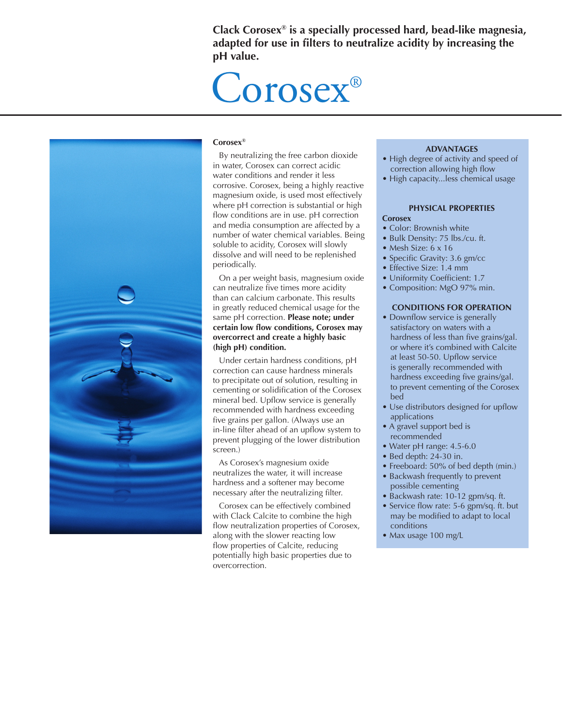**Clack Corosex® is a specially processed hard, bead-like magnesia, adapted for use in filters to neutralize acidity by increasing the pH value.** 

# Corosex®



#### **Corosex®**

By neutralizing the free carbon dioxide in water, Corosex can correct acidic water conditions and render it less corrosive. Corosex, being a highly reactive magnesium oxide, is used most effectively where pH correction is substantial or high flow conditions are in use. pH correction and media consumption are affected by a number of water chemical variables. Being soluble to acidity, Corosex will slowly dissolve and will need to be replenished periodically.

On a per weight basis, magnesium oxide can neutralize five times more acidity than can calcium carbonate. This results in greatly reduced chemical usage for the same pH correction. **Please note; under certain low flow conditions, Corosex may overcorrect and create a highly basic (high pH) condition.**

Under certain hardness conditions, pH correction can cause hardness minerals to precipitate out of solution, resulting in cementing or solidification of the Corosex mineral bed. Upflow service is generally recommended with hardness exceeding five grains per gallon. (Always use an in-line filter ahead of an upflow system to prevent plugging of the lower distribution screen.)

As Corosex's magnesium oxide neutralizes the water, it will increase hardness and a softener may become necessary after the neutralizing filter.

Corosex can be effectively combined with Clack Calcite to combine the high flow neutralization properties of Corosex, along with the slower reacting low flow properties of Calcite, reducing potentially high basic properties due to overcorrection.

#### **ADVANTAGES**

- High degree of activity and speed of correction allowing high flow
- High capacity...less chemical usage

#### **PHYSICAL PROPERTIES**

#### **Corosex**

- Color: Brownish white
- Bulk Density: 75 lbs./cu. ft.
- Mesh Size: 6 x 16
- Specific Gravity: 3.6 gm/cc
- Effective Size: 1.4 mm
- Uniformity Coefficient: 1.7
- Composition: MgO 97% min.

#### **CONDITIONS FOR OPERATION**

- Downflow service is generally satisfactory on waters with a hardness of less than five grains/gal. or where it's combined with Calcite at least 50-50. Upflow service is generally recommended with hardness exceeding five grains/gal. to prevent cementing of the Corosex bed
- Use distributors designed for upflow applications
- A gravel support bed is recommended
- Water pH range: 4.5-6.0
- Bed depth: 24-30 in.
- Freeboard: 50% of bed depth (min.)
- Backwash frequently to prevent possible cementing
- Backwash rate: 10-12 gpm/sq. ft.
- Service flow rate: 5-6 gpm/sq. ft. but may be modified to adapt to local conditions
- Max usage 100 mg/L